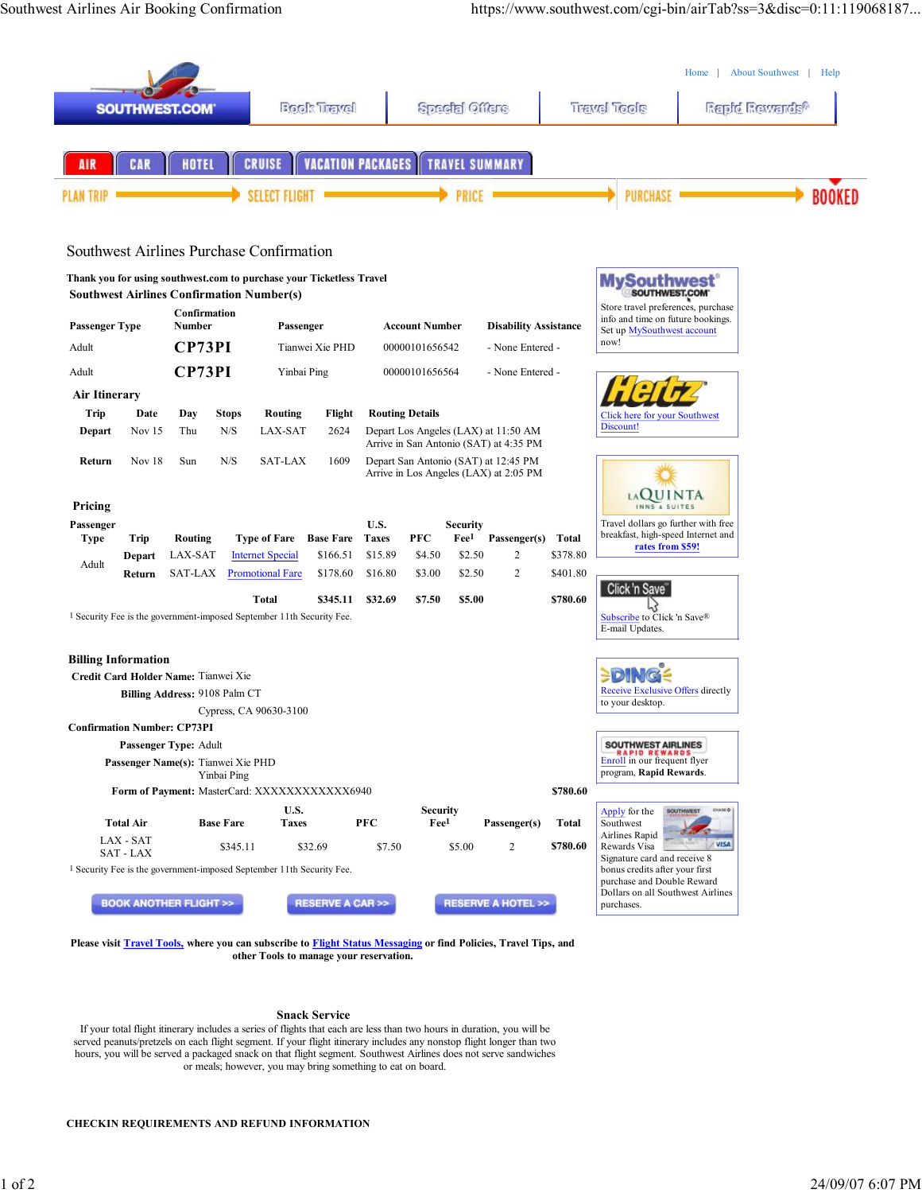

## **Snack Service**

If your total flight itinerary includes a series of flights that each are less than two hours in duration, you will be served peanuts/pretzels on each flight segment. If your flight itinerary includes any nonstop flight longer than two hours, you will be served a packaged snack on that flight segment. Southwest Airlines does not serve sandwiches or meals; however, you may bring something to eat on board.

## **CHECKIN REQUIREMENTS AND REFUND INFORMATION**